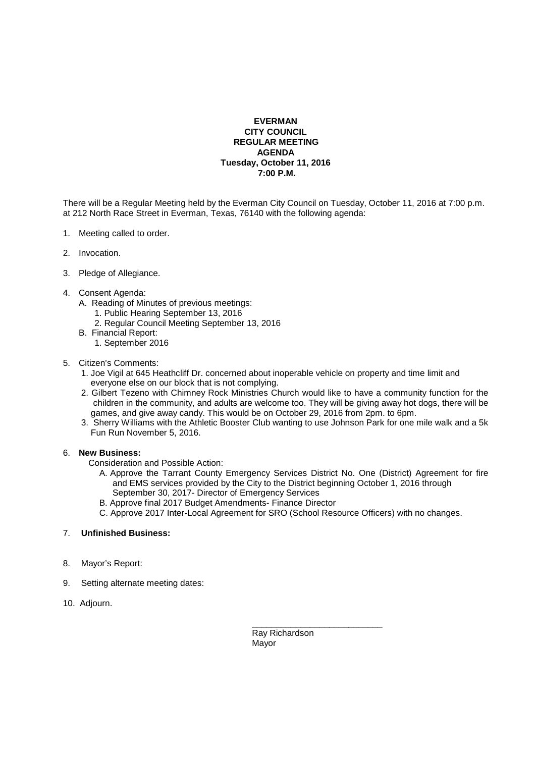## **EVERMAN CITY COUNCIL REGULAR MEETING AGENDA Tuesday, October 11, 2016 7:00 P.M.**

There will be a Regular Meeting held by the Everman City Council on Tuesday, October 11, 2016 at 7:00 p.m. at 212 North Race Street in Everman, Texas, 76140 with the following agenda:

- 1. Meeting called to order.
- 2. Invocation.
- 3. Pledge of Allegiance.
- 4. Consent Agenda:
	- A. Reading of Minutes of previous meetings:
		- 1. Public Hearing September 13, 2016
		- 2. Regular Council Meeting September 13, 2016
	- B. Financial Report:
		- 1. September 2016

## 5. Citizen's Comments:

- 1. Joe Vigil at 645 Heathcliff Dr. concerned about inoperable vehicle on property and time limit and everyone else on our block that is not complying.
- 2. Gilbert Tezeno with Chimney Rock Ministries Church would like to have a community function for the children in the community, and adults are welcome too. They will be giving away hot dogs, there will be games, and give away candy. This would be on October 29, 2016 from 2pm. to 6pm.
- 3. Sherry Williams with the Athletic Booster Club wanting to use Johnson Park for one mile walk and a 5k Fun Run November 5, 2016.

## 6. **New Business:**

Consideration and Possible Action:

- A. Approve the Tarrant County Emergency Services District No. One (District) Agreement for fire and EMS services provided by the City to the District beginning October 1, 2016 through September 30, 2017- Director of Emergency Services
- B. Approve final 2017 Budget Amendments- Finance Director
- C. Approve 2017 Inter-Local Agreement for SRO (School Resource Officers) with no changes.

## 7. **Unfinished Business:**

- 8. Mayor's Report:
- 9. Setting alternate meeting dates:
- 10. Adjourn.

 \_\_\_\_\_\_\_\_\_\_\_\_\_\_\_\_\_\_\_\_\_\_\_\_\_\_\_ Ray Richardson Mayor